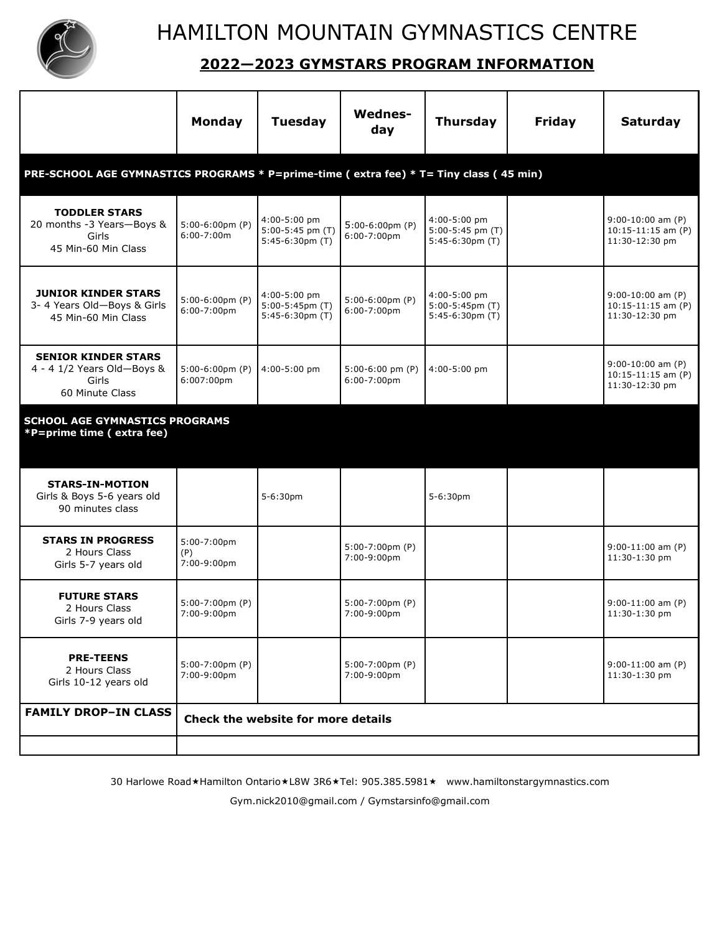

## **2022—2023 GYMSTARS PROGRAM INFORMATION**

|                                                                                        | Monday                                      | <b>Tuesday</b>                                           | <b>Wednes-</b><br>day                       | <b>Thursday</b>                                          | <b>Friday</b> | <b>Saturday</b>                                               |  |  |  |  |  |
|----------------------------------------------------------------------------------------|---------------------------------------------|----------------------------------------------------------|---------------------------------------------|----------------------------------------------------------|---------------|---------------------------------------------------------------|--|--|--|--|--|
| PRE-SCHOOL AGE GYMNASTICS PROGRAMS * P=prime-time (extra fee) * T= Tiny class (45 min) |                                             |                                                          |                                             |                                                          |               |                                                               |  |  |  |  |  |
| <b>TODDLER STARS</b><br>20 months -3 Years-Boys &<br>Girls<br>45 Min-60 Min Class      | $5:00-6:00 \text{pm}$ (P)<br>$6:00-7:00m$   | 4:00-5:00 pm<br>5:00-5:45 pm (T)<br>$5:45-6:30pm(T)$     | $5:00-6:00 \text{pm}$ (P)<br>$6:00-7:00$ pm | 4:00-5:00 pm<br>5:00-5:45 pm (T)<br>$5:45-6:30pm(T)$     |               | $9:00-10:00$ am (P)<br>$10:15-11:15$ am (P)<br>11:30-12:30 pm |  |  |  |  |  |
| <b>JUNIOR KINDER STARS</b><br>3- 4 Years Old-Boys & Girls<br>45 Min-60 Min Class       | $5:00-6:00 \text{pm}$ (P)<br>$6:00-7:00$ pm | 4:00-5:00 pm<br>$5:00-5:45$ pm $(T)$<br>$5:45-6:30pm(T)$ | $5:00-6:00$ pm $(P)$<br>6:00-7:00pm         | 4:00-5:00 pm<br>$5:00-5:45$ pm $(T)$<br>$5:45-6:30pm(T)$ |               | $9:00-10:00$ am (P)<br>$10:15-11:15$ am (P)<br>11:30-12:30 pm |  |  |  |  |  |
| <b>SENIOR KINDER STARS</b><br>4 - 4 1/2 Years Old-Boys &<br>Girls<br>60 Minute Class   | $5:00-6:00 \text{pm}$ (P)<br>6:007:00pm     | 4:00-5:00 pm                                             | $5:00-6:00$ pm (P)<br>6:00-7:00pm           | 4:00-5:00 pm                                             |               | $9:00-10:00$ am (P)<br>$10:15-11:15$ am (P)<br>11:30-12:30 pm |  |  |  |  |  |
| <b>SCHOOL AGE GYMNASTICS PROGRAMS</b><br>*P=prime time (extra fee)                     |                                             |                                                          |                                             |                                                          |               |                                                               |  |  |  |  |  |
| <b>STARS-IN-MOTION</b><br>Girls & Boys 5-6 years old<br>90 minutes class               |                                             | 5-6:30pm                                                 |                                             | 5-6:30pm                                                 |               |                                                               |  |  |  |  |  |
| <b>STARS IN PROGRESS</b><br>2 Hours Class<br>Girls 5-7 years old                       | 5:00-7:00pm<br>(P)<br>7:00-9:00pm           |                                                          | $5:00-7:00$ pm $(P)$<br>7:00-9:00pm         |                                                          |               | $9:00-11:00$ am (P)<br>11:30-1:30 pm                          |  |  |  |  |  |
| <b>FUTURE STARS</b><br>2 Hours Class<br>Girls 7-9 years old                            | $5:00-7:00$ pm $(P)$<br>7:00-9:00pm         |                                                          | $5:00-7:00$ pm $(P)$<br>7:00-9:00pm         |                                                          |               | $9:00-11:00$ am (P)<br>11:30-1:30 pm                          |  |  |  |  |  |
| <b>PRE-TEENS</b><br>2 Hours Class<br>Girls 10-12 years old                             | $5:00-7:00$ pm $(P)$<br>7:00-9:00pm         |                                                          | $5:00-7:00$ pm $(P)$<br>7:00-9:00pm         |                                                          |               | $9:00-11:00$ am (P)<br>11:30-1:30 pm                          |  |  |  |  |  |
| <b>FAMILY DROP-IN CLASS</b>                                                            | Check the website for more details          |                                                          |                                             |                                                          |               |                                                               |  |  |  |  |  |
|                                                                                        |                                             |                                                          |                                             |                                                          |               |                                                               |  |  |  |  |  |

30 Harlowe Road \*Hamilton Ontario \*L8W 3R6 \*Tel: 905.385.5981 \* www.hamiltonstargymnastics.com

Gym.nick2010@gmail.com / Gymstarsinfo@gmail.com